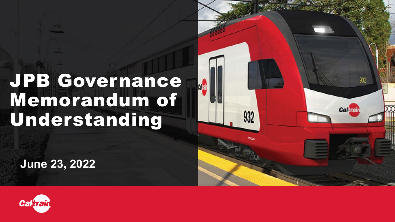#### JPB Governance Memorandum of Understanding

**June 23, 2022**



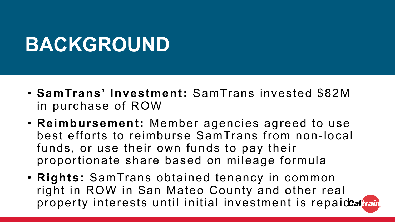#### **BACKGROUND**

- **SamTrans' Investment:** SamTrans invested \$82M in purchase of ROW
- **Reimbursement:** Member agencies agreed to use best efforts to reimburse SamTrans from non-local funds, or use their own funds to pay their proportionate share based on mileage formula
- **Rights:** SamTrans obtained tenancy in common right in ROW in San Mateo County and other real property interests until initial investment is repaidcaltrain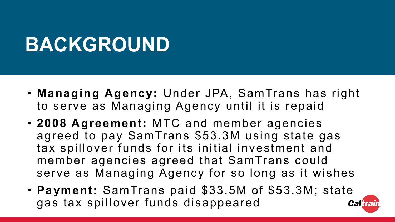#### **BACKGROUND**

- **Managing Agency:** Under JPA, SamTrans has right to serve as Managing Agency until it is repaid
- **2008 Agreement:** MTC and member agencies agreed to pay SamTrans \$53.3M using state gas tax spillover funds for its initial investment and member agencies agreed that SamTrans could serve as Managing Agency for so long as it wishes
- **Payment:** SamTrans paid \$33.5M of \$53.3M; state gas tax spillover funds disappeared **Caltrail**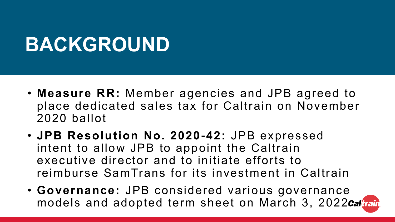#### **BACKGROUND**

- **Measure RR:** Member agencies and JPB agreed to place dedicated sales tax for Caltrain on November 2020 ballot
- **JPB Resolution No. 2020-42:** JPB expressed intent to allow JPB to appoint the Caltrain executive director and to initiate efforts to reimburse SamTrans for its investment in Caltrain
- **Governance:** JPB considered various governance models and adopted term sheet on March 3, 2022 Caltrain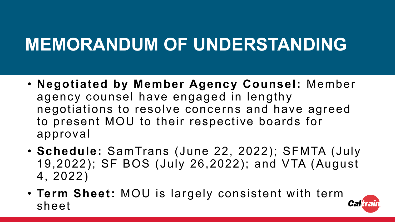#### **MEMORANDUM OF UNDERSTANDING**

- **Negotiated by Member Agency Counsel:** Member agency counsel have engaged in lengthy negotiations to resolve concerns and have agreed to present MOU to their respective boards for approval
- **Schedule:** SamTrans (June 22, 2022); SFMTA (July 19,2022); SF BOS (July 26,2022); and VTA (August 4, 2022)
- **Term Sheet:** MOU is largely consistent with term sheet

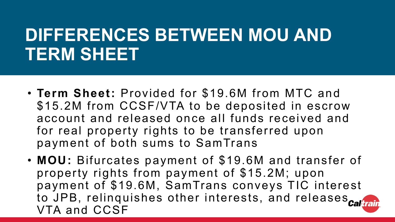#### **DIFFERENCES BETWEEN MOU AND TERM SHEET**

- **Term Sheet:** Provided for \$19.6M from MTC and \$15.2M from CCSF/VTA to be deposited in escrow account and released once all funds received and for real property rights to be transferred upon payment of both sums to SamTrans
- **MOU:** Bifurcates payment of \$19.6M and transfer of property rights from payment of \$15.2M; upon payment of \$19.6M, SamTrans conveys TIC interest to JPB, relinquishes other interests, and releases caltrain VTA and CCSF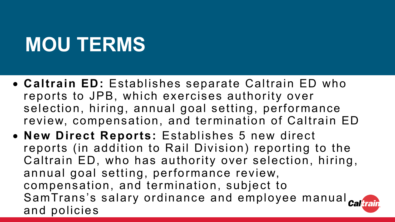- **Caltrain ED:** Establishes separate Caltrain ED who reports to JPB, which exercises authority over selection, hiring, annual goal setting, performance review, compensation, and termination of Caltrain ED
- **New Direct Reports:** Establishes 5 new direct reports (in addition to Rail Division) reporting to the Caltrain ED, who has authority over selection, hiring, annual goal setting, performance review, compensation, and termination, subject to SamTrans's salary ordinance and employee manual calitair and policies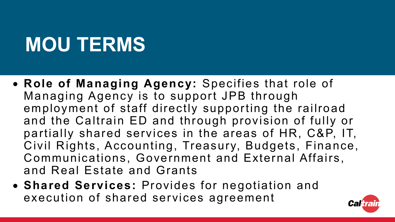- **Role of Managing Agency:** Specifies that role of Managing Agency is to support JPB through employment of staff directly supporting the railroad and the Caltrain ED and through provision of fully or partially shared services in the areas of HR, C&P, IT, Civil Rights, Accounting, Treasury, Budgets, Finance, Communications, Government and External Affairs, and Real Estate and Grants
- **Shared Services:** Provides for negotiation and execution of shared services agreement

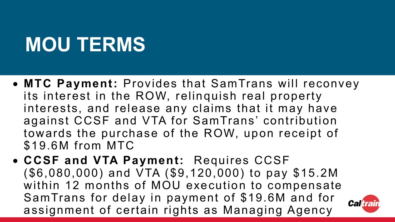- **MTC Payment:** Provides that SamTrans will reconvey its interest in the ROW, relinquish real property interests, and release any claims that it may have against CCSF and VTA for SamTrans' contribution towards the purchase of the ROW, upon receipt of \$19.6M from MTC
- **CCSF and VTA Payment:** Requires CCSF (\$6,080,000) and VTA (\$9,120,000) to pay \$15.2M within 12 months of MOU execution to compensate SamTrans for delay in payment of \$19.6M and for assignment of certain rights as Managing Agency

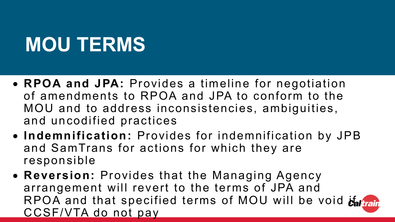- **RPOA and JPA:** Provides a timeline for negotiation of amendments to RPOA and JPA to conform to the MOU and to address inconsistencies, ambiguities, and uncodified practices
- **Indemnification:** Provides for indemnification by JPB and SamTrans for actions for which they are responsible
- **Reversion:** Provides that the Managing Agency arrangement will revert to the terms of JPA and RPOA and that specified terms of MOU will be void that CCSF/VTA do not pay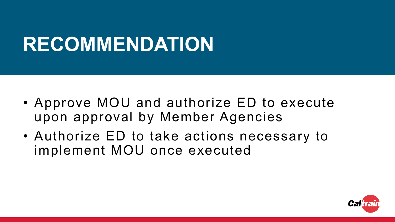# **RECOMMENDATION**

- Approve MOU and authorize ED to execute upon approval by Member Agencies
- Authorize ED to take actions necessary to implement MOU once executed

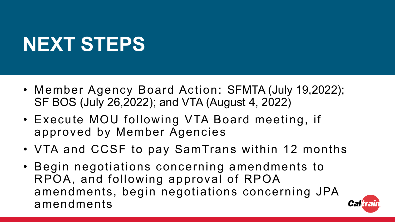# **NEXT STEPS**

- Member Agency Board Action: SFMTA (July 19,2022); SF BOS (July 26,2022); and VTA (August 4, 2022)
- Execute MOU following VTA Board meeting, if approved by Member Agencies
- VTA and CCSF to pay SamTrans within 12 months
- Begin negotiations concerning amendments to RPOA, and following approval of RPOA amendments, begin negotiations concerning JPA amendments